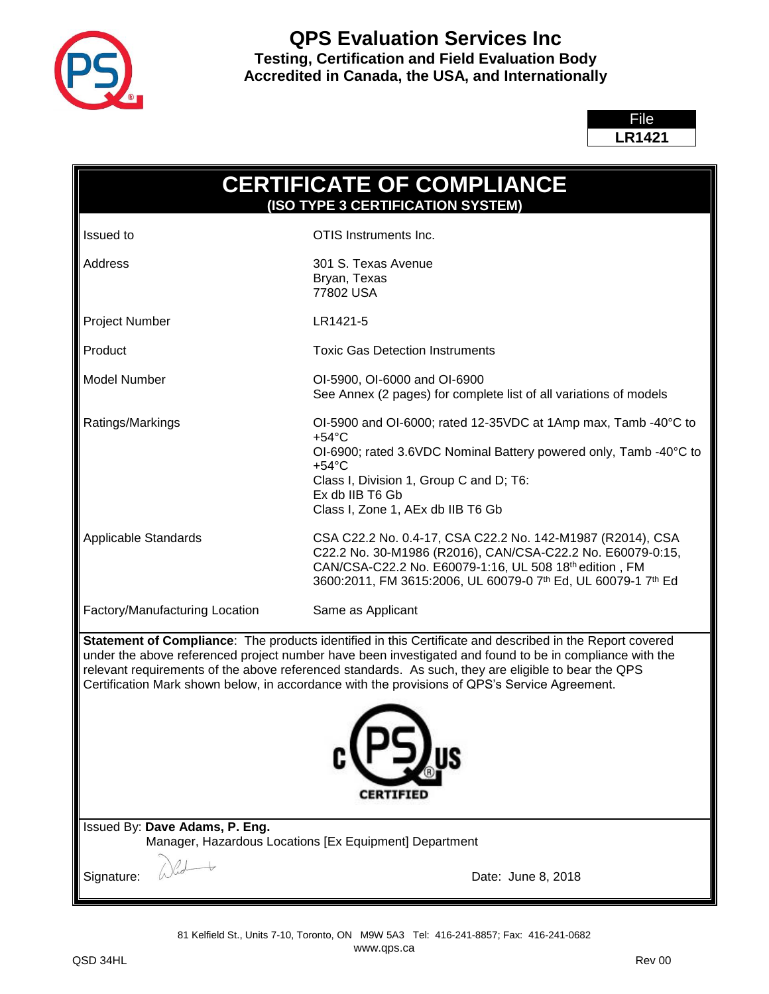

### **QPS Evaluation Services Inc Testing, Certification and Field Evaluation Body Accredited in Canada, the USA, and Internationally**

File **LR1421**

| <b>CERTIFICATE OF COMPLIANCE</b><br>(ISO TYPE 3 CERTIFICATION SYSTEM)                                                                                                                                                                                                                                                                                                                                                                           |                                                                                                                                                                                                                                                                              |  |
|-------------------------------------------------------------------------------------------------------------------------------------------------------------------------------------------------------------------------------------------------------------------------------------------------------------------------------------------------------------------------------------------------------------------------------------------------|------------------------------------------------------------------------------------------------------------------------------------------------------------------------------------------------------------------------------------------------------------------------------|--|
| <b>Issued</b> to                                                                                                                                                                                                                                                                                                                                                                                                                                | OTIS Instruments Inc.                                                                                                                                                                                                                                                        |  |
| Address                                                                                                                                                                                                                                                                                                                                                                                                                                         | 301 S. Texas Avenue<br>Bryan, Texas<br>77802 USA                                                                                                                                                                                                                             |  |
| Project Number                                                                                                                                                                                                                                                                                                                                                                                                                                  | LR1421-5                                                                                                                                                                                                                                                                     |  |
| Product                                                                                                                                                                                                                                                                                                                                                                                                                                         | <b>Toxic Gas Detection Instruments</b>                                                                                                                                                                                                                                       |  |
| <b>Model Number</b>                                                                                                                                                                                                                                                                                                                                                                                                                             | OI-5900, OI-6000 and OI-6900<br>See Annex (2 pages) for complete list of all variations of models                                                                                                                                                                            |  |
| Ratings/Markings                                                                                                                                                                                                                                                                                                                                                                                                                                | OI-5900 and OI-6000; rated 12-35VDC at 1Amp max, Tamb -40°C to<br>$+54^{\circ}$ C<br>OI-6900; rated 3.6VDC Nominal Battery powered only, Tamb -40°C to<br>$+54^{\circ}$ C<br>Class I, Division 1, Group C and D; T6:<br>Ex db IIB T6 Gb<br>Class I, Zone 1, AEx db IIB T6 Gb |  |
| Applicable Standards                                                                                                                                                                                                                                                                                                                                                                                                                            | CSA C22.2 No. 0.4-17, CSA C22.2 No. 142-M1987 (R2014), CSA<br>C22.2 No. 30-M1986 (R2016), CAN/CSA-C22.2 No. E60079-0:15,<br>CAN/CSA-C22.2 No. E60079-1:16, UL 508 18th edition, FM<br>3600:2011, FM 3615:2006, UL 60079-0 7th Ed, UL 60079-1 7th Ed                          |  |
| Factory/Manufacturing Location                                                                                                                                                                                                                                                                                                                                                                                                                  | Same as Applicant                                                                                                                                                                                                                                                            |  |
| Statement of Compliance: The products identified in this Certificate and described in the Report covered<br>under the above referenced project number have been investigated and found to be in compliance with the<br>relevant requirements of the above referenced standards. As such, they are eligible to bear the QPS<br>Certification Mark shown below, in accordance with the provisions of QPS's Service Agreement.<br><b>CERTIFIED</b> |                                                                                                                                                                                                                                                                              |  |
| Issued By: Dave Adams, P. Eng.<br>Manager, Hazardous Locations [Ex Equipment] Department                                                                                                                                                                                                                                                                                                                                                        |                                                                                                                                                                                                                                                                              |  |
| Signature:                                                                                                                                                                                                                                                                                                                                                                                                                                      | Date: June 8, 2018                                                                                                                                                                                                                                                           |  |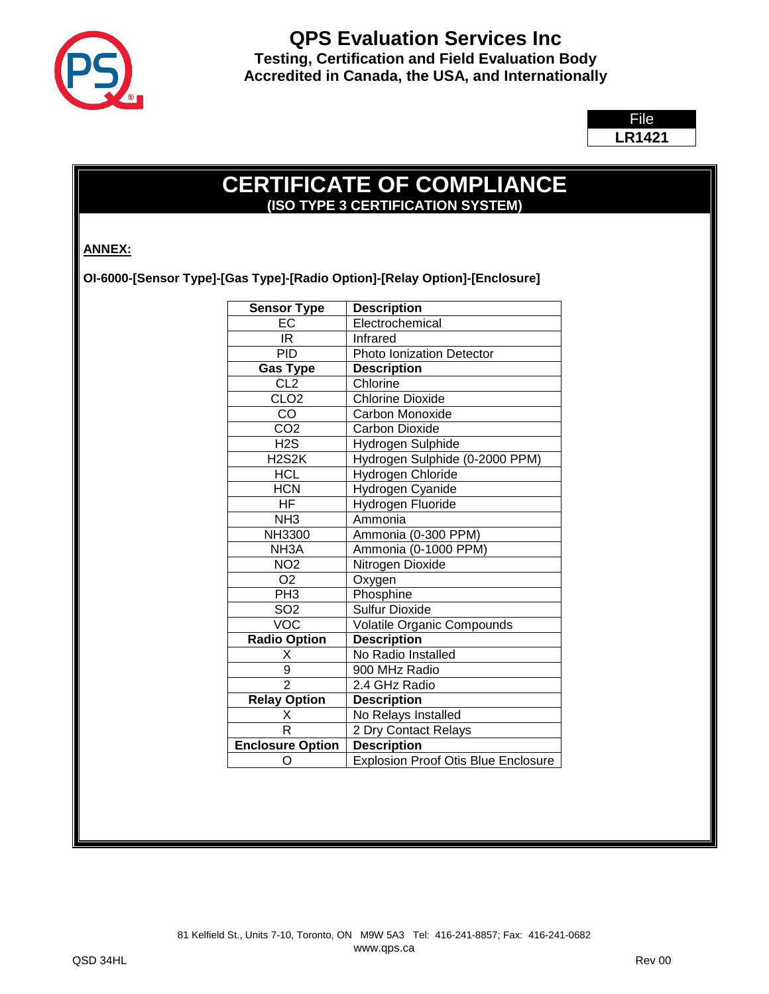

File **LR1421**

# **CERTIFICATE OF COMPLIANCE (ISO TYPE 3 CERTIFICATION SYSTEM)**

### **ANNEX:**

**OI-6000-[Sensor Type]-[Gas Type]-[Radio Option]-[Relay Option]-[Enclosure]**

| <b>Sensor Type</b>              | <b>Description</b>                         |
|---------------------------------|--------------------------------------------|
| EC                              | Electrochemical                            |
| IR.                             | Infrared                                   |
| <b>PID</b>                      | Photo Ionization Detector                  |
| <b>Gas Type</b>                 | <b>Description</b>                         |
| CL <sub>2</sub>                 | Chlorine                                   |
| CLO <sub>2</sub>                | <b>Chlorine Dioxide</b>                    |
| CO                              | Carbon Monoxide                            |
| CO <sub>2</sub>                 | <b>Carbon Dioxide</b>                      |
| H2S                             | Hydrogen Sulphide                          |
| H <sub>2</sub> S <sub>2</sub> K | Hydrogen Sulphide (0-2000 PPM)             |
| <b>HCL</b>                      | Hydrogen Chloride                          |
| <b>HCN</b>                      | Hydrogen Cyanide                           |
| HF.                             | Hydrogen Fluoride                          |
| NH <sub>3</sub>                 | Ammonia                                    |
| <b>NH3300</b>                   | Ammonia (0-300 PPM)                        |
| NH <sub>3</sub> A               | Ammonia (0-1000 PPM)                       |
| NO <sub>2</sub>                 | Nitrogen Dioxide                           |
| O <sub>2</sub>                  | Oxygen                                     |
| PH3                             | Phosphine                                  |
| SO <sub>2</sub>                 | <b>Sulfur Dioxide</b>                      |
| VOC                             | <b>Volatile Organic Compounds</b>          |
| <b>Radio Option</b>             | <b>Description</b>                         |
| Χ                               | No Radio Installed                         |
| 9                               | 900 MHz Radio                              |
| $\overline{2}$                  | 2.4 GHz Radio                              |
| <b>Relay Option</b>             | <b>Description</b>                         |
| $\overline{\mathsf{x}}$         | No Relays Installed                        |
| R                               | 2 Dry Contact Relays                       |
| <b>Enclosure Option</b>         | <b>Description</b>                         |
| O                               | <b>Explosion Proof Otis Blue Enclosure</b> |
|                                 |                                            |